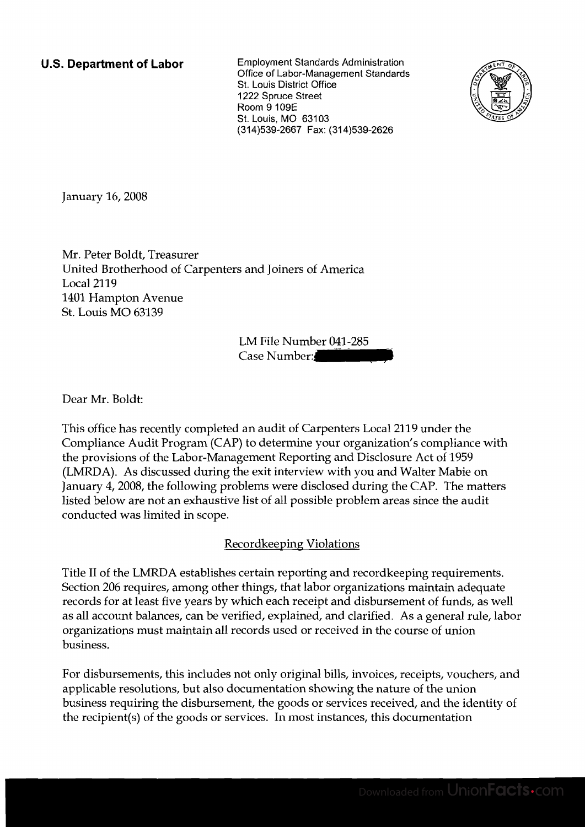**U.S. Department of Labor** Employment Standards Administration Office of Labor-Management Standards St. Louis District Office 1222 Spruce Street Room 9 109E St. Louis, MO 63103 (31 4)539-2667 Fax: (31 4)539-2626



January 16,2008

Mr. Peter Boldt, Treasurer United Brotherhood of Carpenters and Joiners of America Local 2119 1401 Hampton Avenue St. Louis MO 63139

LM File Number 041-285<br>Case Number:

Dear Mr. Boldt:

This office has recently completed an audit of Carpenters Local 2119 under the Compliance Audit Program (CAP) to determine your organization's compliance with the provisions of the Labor-Management Reporting and Disclosure Act of 1959 (LMRDA). As discussed during the exit interview with you and Walter Mabie on January 4,2008, the following problems were disclosed during the CAP. The matters listed below are not an exhaustive list of all possible problem areas since the audit conducted was limited in scope.

## Recordkeeping Violations

Title I1 of the LMRDA establishes certain reporting and recordkeeping requirements. Section 206 requires, among other things, that labor organizations maintain adequate records for at least five years by which each receipt and disbursement of funds, as well as all account balances, can be verified, explained, and clarified. As a general rule, labor organizations must maintain all records used or received in the course of union business.

For disbursements, this includes not only original bills, invoices, receipts, vouchers, and applicable resolutions, but also documentation showing the nature of the union business requiring the disbursement, the goods or services received, and the identity of the recipient(s) of the goods or services. In most instances, this documentation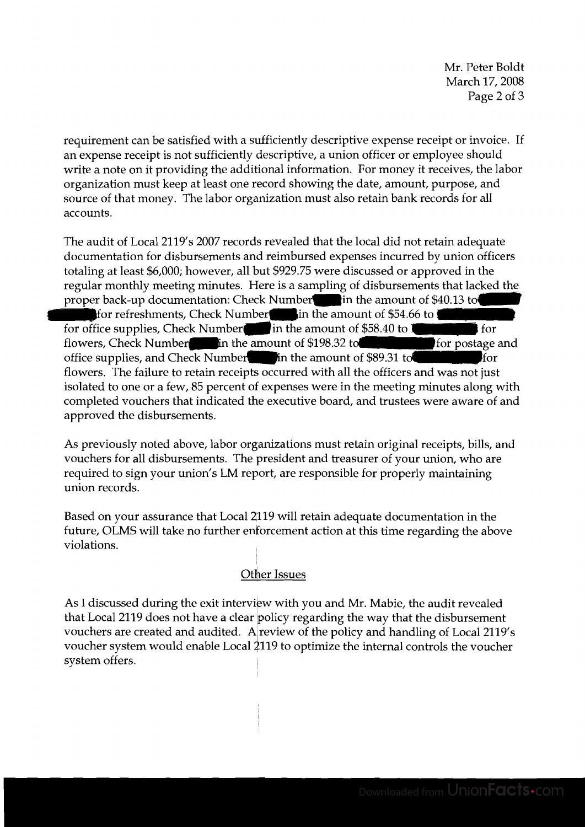Mr. Peter Boldt March 17, 2008 Page 2 of 3

requirement can be satisfied with a sufficiently descriptive expense receipt or invoice. If an expense receipt is not sufficiently descriptive, a union officer or employee should write a note on it providing the additional information. For money it receives, the labor organization must keep at least one record showing the date, amount, purpose, and source of that money. The labor organization must also retain bank records for all accounts.

The audit of Local 2119's 2007 records revealed that the local did not retain adequate documentation for disbursements and reimbursed expenses incurred by union officers totaling at least \$6,000; however, all but \$929.75 were discussed or approved in the regular monthly meeting minutes. Here is a sampling of disbursements that lacked the proper back-up documentation: Check Number in the amount of \$40.13 to for refreshments, Check Number in the amount of \$54.66 to **B** for office supplies, Check Number-in the amount of \$58.40 to  $\sim$  for postage and flowers, Check Number-in the amount of \$198.32 to for flowers, Check Number  $\frac{1}{2}$  in the amount of \$198.32 to office supplies, and Check Number  $\blacksquare$  in the amount of \$89.31 to flowers. The failure to retain receipts occurred with all the officers and was not just isolated to one or a few, 85 percent of expenses were in the meeting minutes along with completed vouchers that indicated the executive board, and trustees were aware of and approved the disbursements.

As previously noted above, labor organizations must retain original receipts, bills, and vouchers for all disbursements. The president and treasurer of your union, who are required to sign your union's LM report, are responsible for properly maintaining union records.

Based on your assurance that Local 2119 will retain adequate documentation in the future, OLMS will take no further enforcement action at this time regarding the above violations.

## other Issues

As I discussed during the exit interview with you and Mr. Mabie, the audit revealed that Local 2119 does not have a clear policy regarding the way that the disbursement vouchers are created and audited. A review of the policy and handling of Local 2119's voucher system would enable Local \$119 to optimize the internal controls the voucher system offers.